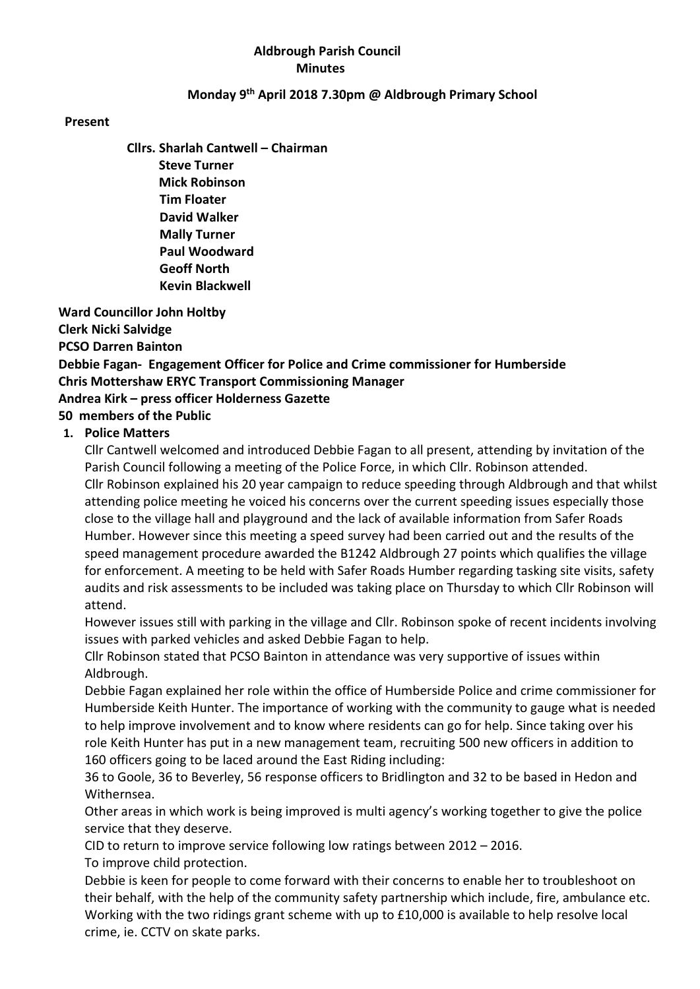### Aldbrough Parish Council Minutes

### Monday 9th April 2018 7.30pm @ Aldbrough Primary School

#### Present

Cllrs. Sharlah Cantwell – Chairman Steve Turner Mick Robinson Tim Floater David Walker Mally Turner Paul Woodward Geoff North Kevin Blackwell

 Ward Councillor John Holtby Clerk Nicki Salvidge PCSO Darren Bainton Debbie Fagan- Engagement Officer for Police and Crime commissioner for Humberside Chris Mottershaw ERYC Transport Commissioning Manager Andrea Kirk – press officer Holderness Gazette 50 members of the Public

#### 1. Police Matters

Cllr Cantwell welcomed and introduced Debbie Fagan to all present, attending by invitation of the Parish Council following a meeting of the Police Force, in which Cllr. Robinson attended. Cllr Robinson explained his 20 year campaign to reduce speeding through Aldbrough and that whilst attending police meeting he voiced his concerns over the current speeding issues especially those close to the village hall and playground and the lack of available information from Safer Roads Humber. However since this meeting a speed survey had been carried out and the results of the speed management procedure awarded the B1242 Aldbrough 27 points which qualifies the village for enforcement. A meeting to be held with Safer Roads Humber regarding tasking site visits, safety audits and risk assessments to be included was taking place on Thursday to which Cllr Robinson will attend.

However issues still with parking in the village and Cllr. Robinson spoke of recent incidents involving issues with parked vehicles and asked Debbie Fagan to help.

Cllr Robinson stated that PCSO Bainton in attendance was very supportive of issues within Aldbrough.

Debbie Fagan explained her role within the office of Humberside Police and crime commissioner for Humberside Keith Hunter. The importance of working with the community to gauge what is needed to help improve involvement and to know where residents can go for help. Since taking over his role Keith Hunter has put in a new management team, recruiting 500 new officers in addition to 160 officers going to be laced around the East Riding including:

36 to Goole, 36 to Beverley, 56 response officers to Bridlington and 32 to be based in Hedon and Withernsea.

Other areas in which work is being improved is multi agency's working together to give the police service that they deserve.

CID to return to improve service following low ratings between 2012 – 2016. To improve child protection.

Debbie is keen for people to come forward with their concerns to enable her to troubleshoot on their behalf, with the help of the community safety partnership which include, fire, ambulance etc. Working with the two ridings grant scheme with up to £10,000 is available to help resolve local crime, ie. CCTV on skate parks.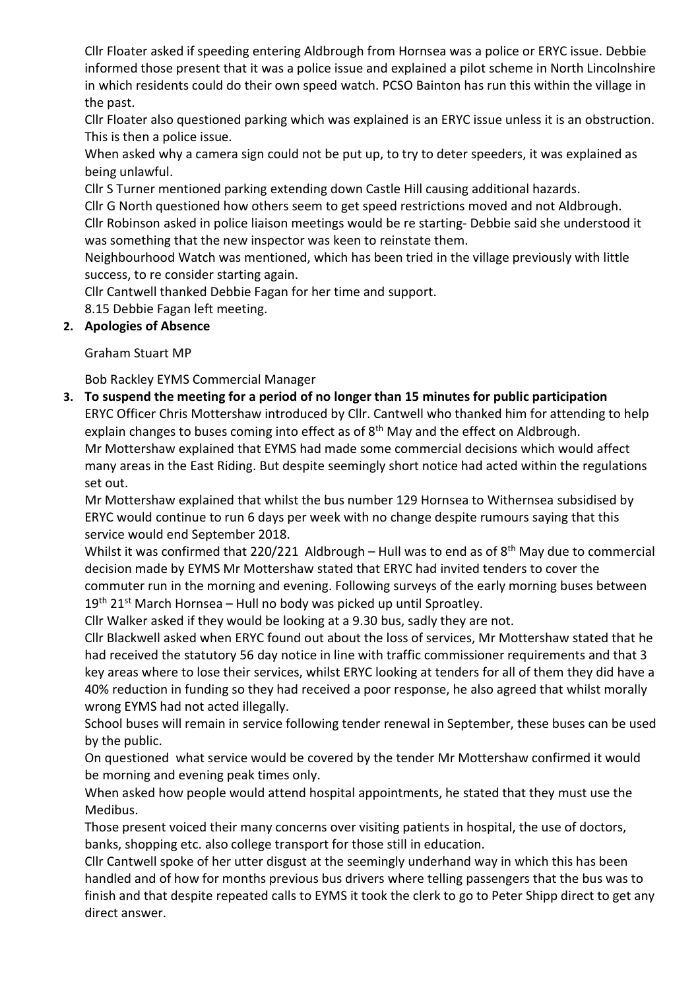Cllr Floater asked if speeding entering Aldbrough from Hornsea was a police or ERYC issue. Debbie informed those present that it was a police issue and explained a pilot scheme in North Lincolnshire in which residents could do their own speed watch. PCSO Bainton has run this within the village in the past.

Cllr Floater also questioned parking which was explained is an ERYC issue unless it is an obstruction. This is then a police issue.

When asked why a camera sign could not be put up, to try to deter speeders, it was explained as being unlawful.

Cllr S Turner mentioned parking extending down Castle Hill causing additional hazards.

Cllr G North questioned how others seem to get speed restrictions moved and not Aldbrough.

Cllr Robinson asked in police liaison meetings would be re starting- Debbie said she understood it was something that the new inspector was keen to reinstate them.

Neighbourhood Watch was mentioned, which has been tried in the village previously with little success, to re consider starting again.

Cllr Cantwell thanked Debbie Fagan for her time and support.

8.15 Debbie Fagan left meeting.

### 2. Apologies of Absence

Graham Stuart MP

Bob Rackley EYMS Commercial Manager

3. To suspend the meeting for a period of no longer than 15 minutes for public participation ERYC Officer Chris Mottershaw introduced by Cllr. Cantwell who thanked him for attending to help explain changes to buses coming into effect as of 8<sup>th</sup> May and the effect on Aldbrough. Mr Mottershaw explained that EYMS had made some commercial decisions which would affect many areas in the East Riding. But despite seemingly short notice had acted within the regulations set out.

Mr Mottershaw explained that whilst the bus number 129 Hornsea to Withernsea subsidised by ERYC would continue to run 6 days per week with no change despite rumours saying that this service would end September 2018.

Whilst it was confirmed that 220/221 Aldbrough – Hull was to end as of 8<sup>th</sup> May due to commercial decision made by EYMS Mr Mottershaw stated that ERYC had invited tenders to cover the commuter run in the morning and evening. Following surveys of the early morning buses between  $19<sup>th</sup> 21<sup>st</sup>$  March Hornsea – Hull no body was picked up until Sproatley.

Cllr Walker asked if they would be looking at a 9.30 bus, sadly they are not.

Cllr Blackwell asked when ERYC found out about the loss of services, Mr Mottershaw stated that he had received the statutory 56 day notice in line with traffic commissioner requirements and that 3 key areas where to lose their services, whilst ERYC looking at tenders for all of them they did have a 40% reduction in funding so they had received a poor response, he also agreed that whilst morally wrong EYMS had not acted illegally.

School buses will remain in service following tender renewal in September, these buses can be used by the public.

On questioned what service would be covered by the tender Mr Mottershaw confirmed it would be morning and evening peak times only.

When asked how people would attend hospital appointments, he stated that they must use the Medibus.

Those present voiced their many concerns over visiting patients in hospital, the use of doctors, banks, shopping etc. also college transport for those still in education.

Cllr Cantwell spoke of her utter disgust at the seemingly underhand way in which this has been handled and of how for months previous bus drivers where telling passengers that the bus was to finish and that despite repeated calls to EYMS it took the clerk to go to Peter Shipp direct to get any direct answer.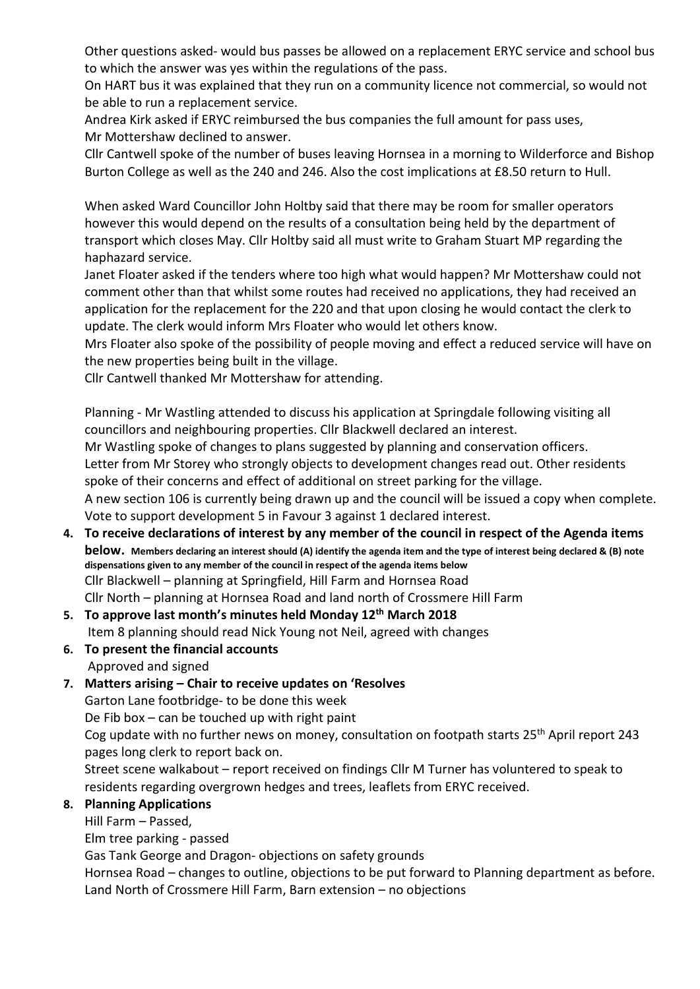Other questions asked- would bus passes be allowed on a replacement ERYC service and school bus to which the answer was yes within the regulations of the pass.

On HART bus it was explained that they run on a community licence not commercial, so would not be able to run a replacement service.

Andrea Kirk asked if ERYC reimbursed the bus companies the full amount for pass uses, Mr Mottershaw declined to answer.

Cllr Cantwell spoke of the number of buses leaving Hornsea in a morning to Wilderforce and Bishop Burton College as well as the 240 and 246. Also the cost implications at £8.50 return to Hull.

When asked Ward Councillor John Holtby said that there may be room for smaller operators however this would depend on the results of a consultation being held by the department of transport which closes May. Cllr Holtby said all must write to Graham Stuart MP regarding the haphazard service.

Janet Floater asked if the tenders where too high what would happen? Mr Mottershaw could not comment other than that whilst some routes had received no applications, they had received an application for the replacement for the 220 and that upon closing he would contact the clerk to update. The clerk would inform Mrs Floater who would let others know.

Mrs Floater also spoke of the possibility of people moving and effect a reduced service will have on the new properties being built in the village.

Cllr Cantwell thanked Mr Mottershaw for attending.

Planning - Mr Wastling attended to discuss his application at Springdale following visiting all councillors and neighbouring properties. Cllr Blackwell declared an interest.

Mr Wastling spoke of changes to plans suggested by planning and conservation officers.

Letter from Mr Storey who strongly objects to development changes read out. Other residents spoke of their concerns and effect of additional on street parking for the village.

A new section 106 is currently being drawn up and the council will be issued a copy when complete. Vote to support development 5 in Favour 3 against 1 declared interest.

### 4. To receive declarations of interest by any member of the council in respect of the Agenda items below. Members declaring an interest should (A) identify the agenda item and the type of interest being declared & (B) note dispensations given to any member of the council in respect of the agenda items below Cllr Blackwell – planning at Springfield, Hill Farm and Hornsea Road Cllr North – planning at Hornsea Road and land north of Crossmere Hill Farm

# 5. To approve last month's minutes held Monday 12<sup>th</sup> March 2018 Item 8 planning should read Nick Young not Neil, agreed with changes

6. To present the financial accounts Approved and signed

## 7. Matters arising – Chair to receive updates on 'Resolves

Garton Lane footbridge- to be done this week De Fib box – can be touched up with right paint Cog update with no further news on money, consultation on footpath starts 25<sup>th</sup> April report 243 pages long clerk to report back on.

Street scene walkabout – report received on findings Cllr M Turner has voluntered to speak to residents regarding overgrown hedges and trees, leaflets from ERYC received.

# 8. Planning Applications

Hill Farm – Passed,

Elm tree parking - passed

Gas Tank George and Dragon- objections on safety grounds

Hornsea Road – changes to outline, objections to be put forward to Planning department as before. Land North of Crossmere Hill Farm, Barn extension – no objections